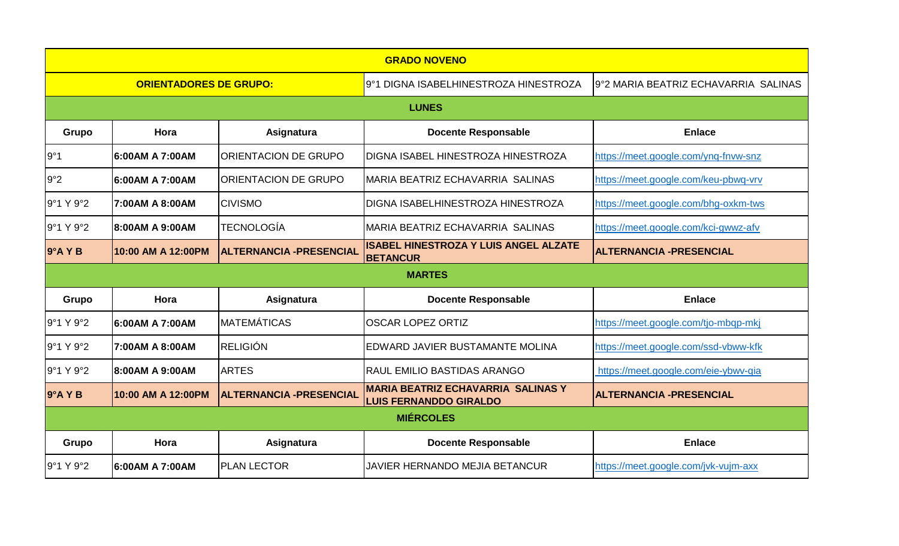| <b>GRADO NOVENO</b>           |                    |                                 |                                                                            |                                      |  |  |  |  |
|-------------------------------|--------------------|---------------------------------|----------------------------------------------------------------------------|--------------------------------------|--|--|--|--|
| <b>ORIENTADORES DE GRUPO:</b> |                    |                                 | 9°1 DIGNA ISABELHINESTROZA HINESTROZA                                      | 9°2 MARIA BEATRIZ ECHAVARRIA SALINAS |  |  |  |  |
| <b>LUNES</b>                  |                    |                                 |                                                                            |                                      |  |  |  |  |
| Grupo                         | Hora               | Asignatura                      | <b>Docente Responsable</b>                                                 | <b>Enlace</b>                        |  |  |  |  |
| 9°1                           | 6:00AM A 7:00AM    | <b>ORIENTACION DE GRUPO</b>     | DIGNA ISABEL HINESTROZA HINESTROZA                                         | https://meet.google.com/ynq-fnvw-snz |  |  |  |  |
| 9°2                           | 6:00AM A 7:00AM    | <b>ORIENTACION DE GRUPO</b>     | MARIA BEATRIZ ECHAVARRIA SALINAS                                           | https://meet.google.com/keu-pbwq-vrv |  |  |  |  |
| 9°1 Y 9°2                     | 7:00AM A 8:00AM    | <b>CIVISMO</b>                  | <b>DIGNA ISABELHINESTROZA HINESTROZA</b>                                   | https://meet.google.com/bhg-oxkm-tws |  |  |  |  |
| 9°1 Y 9°2                     | 8:00AM A 9:00AM    | <b> TECNOLOGÍA</b>              | IMARIA BEATRIZ ECHAVARRIA SALINAS                                          | https://meet.google.com/kci-gwwz-afv |  |  |  |  |
| 9°A Y B                       | 10:00 AM A 12:00PM | <b>ALTERNANCIA - PRESENCIAL</b> | <b>ISABEL HINESTROZA Y LUIS ANGEL ALZATE</b><br><b>BETANCUR</b>            | <b>ALTERNANCIA - PRESENCIAL</b>      |  |  |  |  |
| <b>MARTES</b>                 |                    |                                 |                                                                            |                                      |  |  |  |  |
| Grupo                         | Hora               | Asignatura                      | <b>Docente Responsable</b>                                                 | <b>Enlace</b>                        |  |  |  |  |
| 9°1 Y 9°2                     | 6:00AM A 7:00AM    | <b>I</b> MATEMÁTICAS            | <b>OSCAR LOPEZ ORTIZ</b>                                                   | https://meet.google.com/tjo-mbqp-mkj |  |  |  |  |
| 9°1 Y 9°2                     | 7:00AM A 8:00AM    | IRELIGIÓN                       | EDWARD JAVIER BUSTAMANTE MOLINA                                            | https://meet.google.com/ssd-vbww-kfk |  |  |  |  |
| 9°1 Y 9°2                     | 8:00AM A 9:00AM    | <b>ARTES</b>                    | <b>RAUL EMILIO BASTIDAS ARANGO</b>                                         | https://meet.google.com/eie-ybwv-qia |  |  |  |  |
| 9°A YB                        | 10:00 AM A 12:00PM | <b>ALTERNANCIA - PRESENCIAL</b> | <b>MARIA BEATRIZ ECHAVARRIA SALINAS Y</b><br><b>LUIS FERNANDDO GIRALDO</b> | <b>ALTERNANCIA - PRESENCIAL</b>      |  |  |  |  |
| <b>MIÉRCOLES</b>              |                    |                                 |                                                                            |                                      |  |  |  |  |
| Grupo                         | Hora               | Asignatura                      | <b>Docente Responsable</b>                                                 | <b>Enlace</b>                        |  |  |  |  |
| 9°1 Y 9°2                     | 6:00AM A 7:00AM    | <b>PLAN LECTOR</b>              | JAVIER HERNANDO MEJIA BETANCUR                                             | https://meet.google.com/jvk-vujm-axx |  |  |  |  |